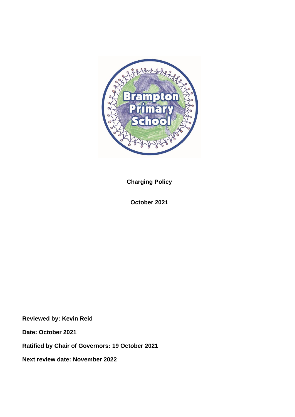

**Charging Policy**

**October 2021**

**Reviewed by: Kevin Reid**

**Date: October 2021**

**Ratified by Chair of Governors: 19 October 2021**

**Next review date: November 2022**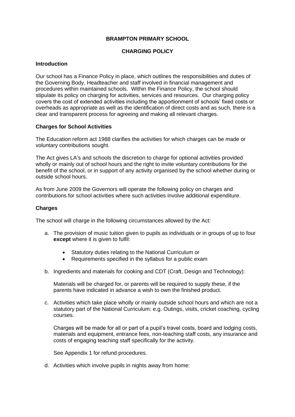## **BRAMPTON PRIMARY SCHOOL**

## **CHARGING POLICY**

## **Introduction**

Our school has a Finance Policy in place, which outlines the responsibilities and duties of the Governing Body, Headteacher and staff involved in financial management and procedures within maintained schools. Within the Finance Policy, the school should stipulate its policy on charging for activities, services and resources. Our charging policy covers the cost of extended activities including the apportionment of schools' fixed costs or overheads as appropriate as well as the identification of direct costs and as such, there is a clear and transparent process for agreeing and making all relevant charges.

## **Charges for School Activities**

The Education reform act 1988 clarifies the activities for which charges can be made or voluntary contributions sought.

The Act gives LA's and schools the discretion to charge for optional activities provided wholly or mainly out of school hours and the right to invite voluntary contributions for the benefit of the school, or in support of any activity organised by the school whether during or outside school hours.

As from June 2009 the Governors will operate the following policy on charges and contributions for school activities where such activities involve additional expenditure.

## **Charges**

The school will charge in the following circumstances allowed by the Act:

- a. The provision of music tuition given to pupils as individuals or in groups of up to four **except** where it is given to fulfil:
	- Statutory duties relating to the National Curriculum or
	- Requirements specified in the syllabus for a public exam
- b. Ingredients and materials for cooking and CDT (Craft, Design and Technology):

Materials will be charged for, or parents will be required to supply these, if the parents have indicated in advance a wish to own the finished product.

c. Activities which take place wholly or mainly outside school hours and which are not a statutory part of the National Curriculum: e.g. Outings, visits, cricket coaching, cycling courses.

Charges will be made for all or part of a pupil's travel costs, board and lodging costs, materials and equipment, entrance fees, non-teaching staff costs, any insurance and costs of engaging teaching staff specifically for the activity.

See Appendix 1 for refund procedures.

d. Activities which involve pupils in nights away from home: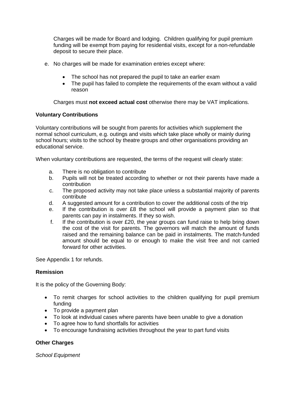Charges will be made for Board and lodging. Children qualifying for pupil premium funding will be exempt from paying for residential visits, except for a non-refundable deposit to secure their place.

- e. No charges will be made for examination entries except where:
	- The school has not prepared the pupil to take an earlier exam
	- The pupil has failed to complete the requirements of the exam without a valid reason

Charges must **not exceed actual cost** otherwise there may be VAT implications.

# **Voluntary Contributions**

Voluntary contributions will be sought from parents for activities which supplement the normal school curriculum, e.g. outings and visits which take place wholly or mainly during school hours; visits to the school by theatre groups and other organisations providing an educational service.

When voluntary contributions are requested, the terms of the request will clearly state:

- a. There is no obligation to contribute
- b. Pupils will not be treated according to whether or not their parents have made a contribution
- c. The proposed activity may not take place unless a substantial majority of parents contribute
- d. A suggested amount for a contribution to cover the additional costs of the trip
- e. If the contribution is over £8 the school will provide a payment plan so that parents can pay in instalments. If they so wish.
- f. If the contribution is over £20, the year groups can fund raise to help bring down the cost of the visit for parents. The governors will match the amount of funds raised and the remaining balance can be paid in instalments. The match-funded amount should be equal to or enough to make the visit free and not carried forward for other activities.

See Appendix 1 for refunds.

## **Remission**

It is the policy of the Governing Body:

- To remit charges for school activities to the children qualifying for pupil premium funding
- To provide a payment plan
- To look at individual cases where parents have been unable to give a donation
- To agree how to fund shortfalls for activities
- To encourage fundraising activities throughout the year to part fund visits

## **Other Charges**

*School Equipment*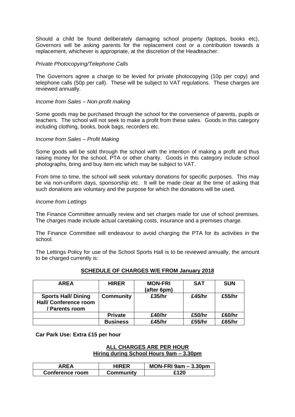Should a child be found deliberately damaging school property (laptops, books etc), Governors will be asking parents for the replacement cost or a contribution towards a replacement, whichever is appropriate, at the discretion of the Headteacher.

## *Private Photocopying/Telephone Calls*

The Governors agree a charge to be levied for private photocopying (10p per copy) and telephone calls (50p per call). These will be subject to VAT regulations. These charges are reviewed annually.

## *Income from Sales – Non-profit making*

Some goods may be purchased through the school for the convenience of parents, pupils or teachers. The school will not seek to make a profit from these sales. Goods in this category including clothing, books, book bags, recorders etc.

#### *Income from Sales – Profit Making*

Some goods will be sold through the school with the intention of making a profit and thus raising money for the school, PTA or other charity. Goods in this category include school photographs, bring and buy item etc which may be subject to VAT.

From time to time, the school will seek voluntary donations for specific purposes. This may be via non-uniform days, sponsorship etc. It will be made clear at the time of asking that such donations are voluntary and the purpose for which the donations will be used.

#### *Income from Lettings*

The Finance Committee annually review and set charges made for use of school premises. The charges made include actual caretaking costs, insurance and a premises charge.

The Finance Committee will endeavour to avoid charging the PTA for its activities in the school.

The Lettings Policy for use of the School Sports Hall is to be reviewed annually, the amount to be charged currently is:

| <b>AREA</b>                                                                  | <b>HIRER</b>     | <b>MON-FRI</b><br>(after 6pm) | <b>SAT</b> | <b>SUN</b> |
|------------------------------------------------------------------------------|------------------|-------------------------------|------------|------------|
| <b>Sports Hall/ Dining</b><br><b>Hall/ Conference room</b><br>/ Parents room | <b>Community</b> | £35/hr                        | £45/hr     | £55/hr     |
|                                                                              | <b>Private</b>   | £40/hr                        | £50/hr     | £60/hr     |
|                                                                              | <b>Business</b>  | £45/hr                        | £55/hr     | £65/hr     |

## **SCHEDULE OF CHARGES W/E FROM January 2018**

**Car Park Use: Extra £15 per hour**

## **ALL CHARGES ARE PER HOUR Hiring during School Hours 9am – 3.30pm**

| AREA            | <b>HIRER</b> | MON-FRI $9am - 3.30pm$ |
|-----------------|--------------|------------------------|
| Conference room | Community    | £120                   |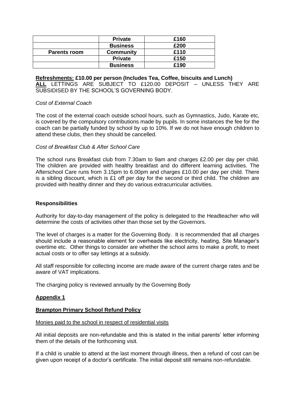|                     | <b>Private</b>   | £160 |
|---------------------|------------------|------|
|                     | <b>Business</b>  | £200 |
| <b>Parents room</b> | <b>Community</b> | £110 |
|                     | <b>Private</b>   | £150 |
|                     | <b>Business</b>  | £190 |

**Refreshments: £10.00 per person (Includes Tea, Coffee, biscuits and Lunch) ALL** LETTINGS ARE SUBJECT TO £120.00 DEPOSIT – UNLESS THEY ARE SUBSIDISED BY THE SCHOOL'S GOVERNING BODY.

## *Cost of External Coach*

The cost of the external coach outside school hours, such as Gymnastics, Judo, Karate etc, is covered by the compulsory contributions made by pupils. In some instances the fee for the coach can be partially funded by school by up to 10%. If we do not have enough children to attend these clubs, then they should be cancelled.

## *Cost of Breakfast Club & After School Care*

The school runs Breakfast club from 7.30am to 9am and charges £2.00 per day per child. The children are provided with healthy breakfast and do different learning activities. The Afterschool Care runs from 3.15pm to 6.00pm and charges £10.00 per day per child. There is a sibling discount, which is £1 off per day for the second or third child. The children are provided with healthy dinner and they do various extracurricular activities.

## **Responsibilities**

Authority for day-to-day management of the policy is delegated to the Headteacher who will determine the costs of activities other than those set by the Governors.

The level of charges is a matter for the Governing Body. It is recommended that all charges should include a reasonable element for overheads like electricity, heating, Site Manager's overtime etc. Other things to consider are whether the school aims to make a profit, to meet actual costs or to offer say lettings at a subsidy.

All staff responsible for collecting income are made aware of the current charge rates and be aware of VAT implications.

The charging policy is reviewed annually by the Governing Body

#### **Appendix 1**

## **Brampton Primary School Refund Policy**

Monies paid to the school in respect of residential visits

All initial deposits are non-refundable and this is stated in the initial parents' letter informing them of the details of the forthcoming visit.

If a child is unable to attend at the last moment through illness, then a refund of cost can be given upon receipt of a doctor's certificate. The initial deposit still remains non-refundable.